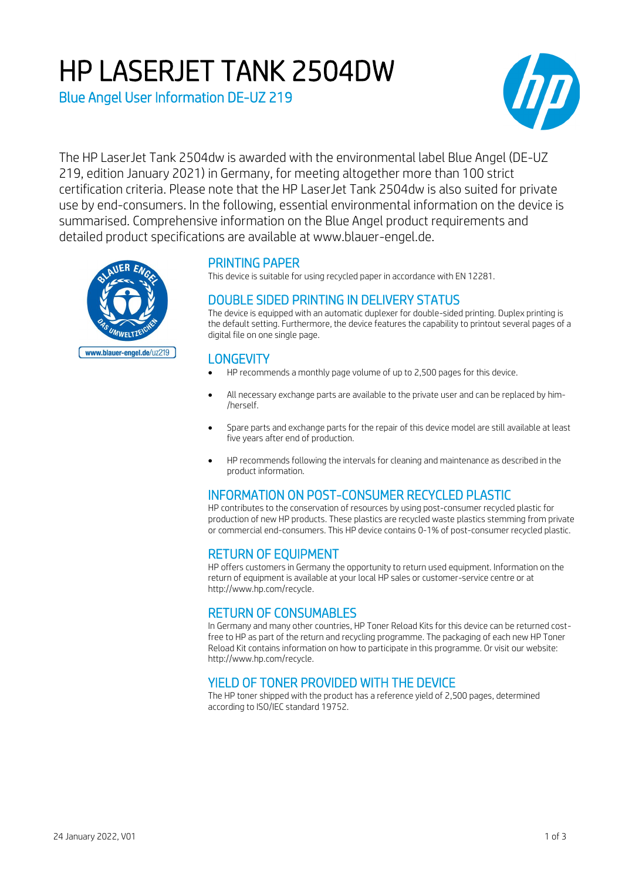# HP LASERJET TANK 2504DW

Blue Angel User Information DE-UZ 219



The HP LaserJet Tank 2504dw is awarded with the environmental label Blue Angel (DE-UZ 219, edition January 2021) in Germany, for meeting altogether more than 100 strict certification criteria. Please note that the HP LaserJet Tank 2504dw is also suited for private use by end-consumers. In the following, essential environmental information on the device is summarised. Comprehensive information on the Blue Angel product requirements and detailed product specifications are available at www.blauer-engel.de.



# PRINTING PAPER

This device is suitable for using recycled paper in accordance with EN 12281.

# DOUBLE SIDED PRINTING IN DELIVERY STATUS

The device is equipped with an automatic duplexer for double-sided printing. Duplex printing is the default setting. Furthermore, the device features the capability to printout several pages of a digital file on one single page.

# **LONGEVITY**

- HP recommends a monthly page volume of up to 2,500 pages for this device.
- All necessary exchange parts are available to the private user and can be replaced by him- /herself.
- Spare parts and exchange parts for the repair of this device model are still available at least five years after end of production.
- HP recommends following the intervals for cleaning and maintenance as described in the product information.

# INFORMATION ON POST-CONSUMER RECYCLED PLASTIC

HP contributes to the conservation of resources by using post-consumer recycled plastic for production of new HP products. These plastics are recycled waste plastics stemming from private or commercial end-consumers. This HP device contains 0-1% of post-consumer recycled plastic.

# RETURN OF EQUIPMENT

HP offers customers in Germany the opportunity to return used equipment. Information on the return of equipment is available at your local HP sales or customer-service centre or at http://www.hp.com/recycle.

# RETURN OF CONSUMABLES

In Germany and many other countries, HP Toner Reload Kits for this device can be returned costfree to HP as part of the return and recycling programme. The packaging of each new HP Toner Reload Kit contains information on how to participate in this programme. Or visit our website: http://www.hp.com/recycle.

# YIELD OF TONER PROVIDED WITH THE DEVICE

The HP toner shipped with the product has a reference yield of 2,500 pages, determined according to ISO/IEC standard 19752.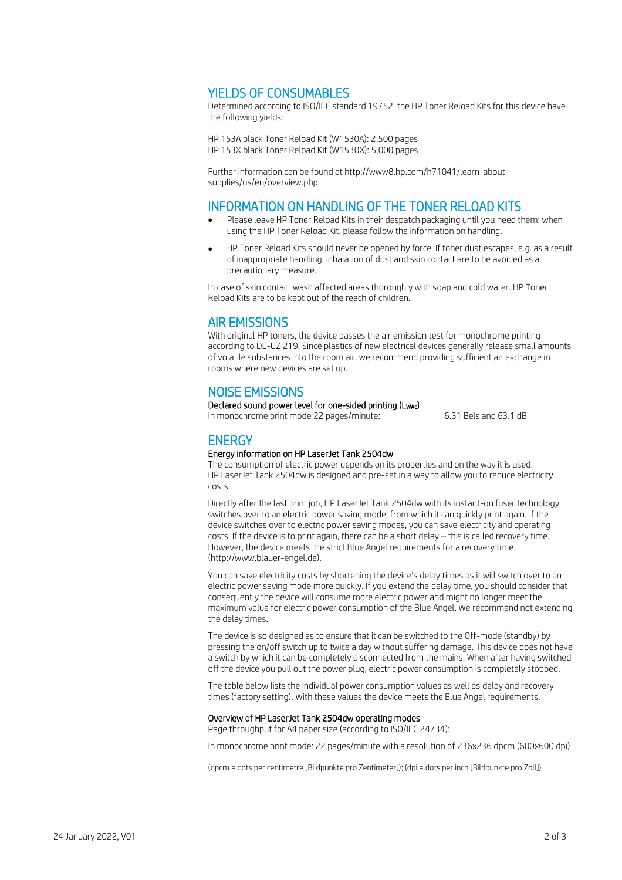## YIELDS OF CONSUMABLES

Determined according to ISO/IEC standard 19752, the HP Toner Reload Kits for this device have the following yields:

HP 153A black Toner Reload Kit (W1530A): 2,500 pages HP 153X black Toner Reload Kit (W1530X): 5,000 pages

Further information can be found at http://www8.hp.com/h71041/learn-aboutsupplies/us/en/overview.php.

## INFORMATION ON HANDLING OF THE TONER RELOAD KITS

- Please leave HP Toner Reload Kits in their despatch packaging until you need them; when using the HP Toner Reload Kit, please follow the information on handling.
- HP Toner Reload Kits should never be opened by force. If toner dust escapes, e.g. as a result of inappropriate handling, inhalation of dust and skin contact are to be avoided as a precautionary measure.

In case of skin contact wash affected areas thoroughly with soap and cold water. HP Toner Reload Kits are to be kept out of the reach of children.

## AIR EMISSIONS

With original HP toners, the device passes the air emission test for monochrome printing according to DE-UZ 219. Since plastics of new electrical devices generally release small amounts of volatile substances into the room air, we recommend providing sufficient air exchange in rooms where new devices are set up.

## NOISE EMISSIONS

#### Declared sound power level for one-sided printing (L<sub>WAc</sub>)

In monochrome print mode 22 pages/minute: 6.31 Bels and 63.1 dB

## **ENERGY**

#### Energy information on HP LaserJet Tank 2504dw

The consumption of electric power depends on its properties and on the way it is used. HP LaserJet Tank 2504dw is designed and pre-set in a way to allow you to reduce electricity costs.

Directly after the last print job, HP LaserJet Tank 2504dw with its instant-on fuser technology switches over to an electric power saving mode, from which it can quickly print again. If the device switches over to electric power saving modes, you can save electricity and operating costs. If the device is to print again, there can be a short delay – this is called recovery time. However, the device meets the strict Blue Angel requirements for a recovery time (http://www.blauer-engel.de).

You can save electricity costs by shortening the device's delay times as it will switch over to an electric power saving mode more quickly. If you extend the delay time, you should consider that consequently the device will consume more electric power and might no longer meet the maximum value for electric power consumption of the Blue Angel. We recommend not extending the delay times.

The device is so designed as to ensure that it can be switched to the Off-mode (standby) by pressing the on/off switch up to twice a day without suffering damage. This device does not have a switch by which it can be completely disconnected from the mains. When after having switched off the device you pull out the power plug, electric power consumption is completely stopped.

The table below lists the individual power consumption values as well as delay and recovery times (factory setting). With these values the device meets the Blue Angel requirements.

#### Overview of HP LaserJet Tank 2504dw operating modes

Page throughput for A4 paper size (according to ISO/IEC 24734):

In monochrome print mode: 22 pages/minute with a resolution of 236x236 dpcm (600x600 dpi)

(dpcm = dots per centimetre [Bildpunkte pro Zentimeter]); (dpi = dots per inch [Bildpunkte pro Zoll])